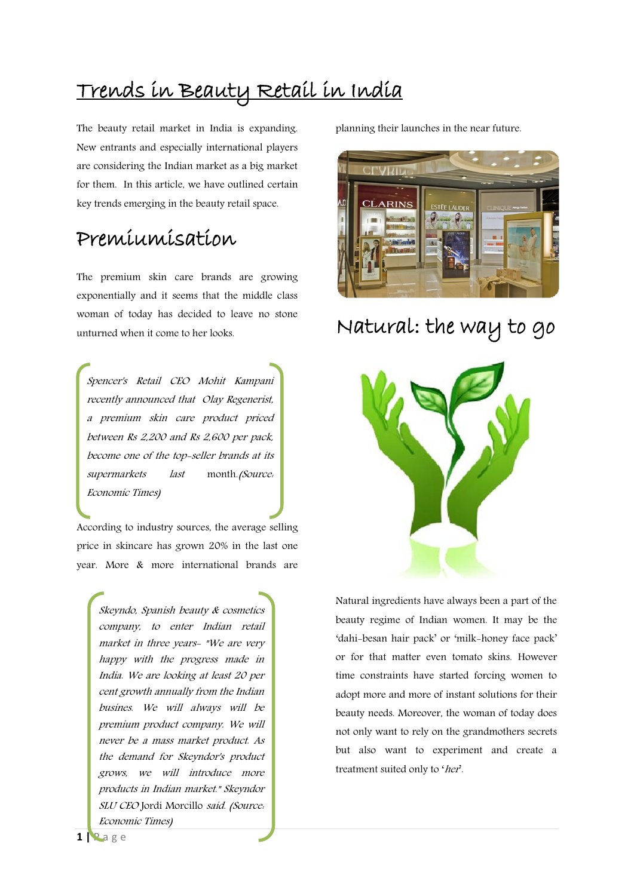## Trends in Beauty Retail in India

The beauty retail market in India is expanding. New entrants and especially international players are considering the Indian market as a big market for them. In this article, we have outlined certain key trends emerging in the beauty retail space.

### Premiumisation

The premium skin care brands are growing exponentially and it seems that the middle class woman of today has decided to leave no stone unturned when it come to her looks.

Spencer's Retail CEO Mohit Kampani recently announced that Olay Regenerist, a premium skin care product priced between Rs 2,200 and Rs 2,600 per pack, become one of the top-seller brands at its supermarkets last month. (Source: Economic Times)

According to industry sources, the average selling price in skincare has grown 20% in the last one year. More & more international brands are

Skeyndo, Spanish beauty & cosmetics company, to enter Indian retail market in three years- "We are very happy with the progress made in India. We are looking at least 20 per cent growth annually from the Indian busines. We will always will be premium product company. We will never be a mass market product. As the demand for Skeyndor's product grows, we will introduce more products in Indian market." Skeyndor SLU CEO [Jordi Morcillo](http://economictimes.indiatimes.com/topic/Jordi%20Morcillo) said. (Source: Economic Times)

planning their launches in the near future.



## Natural: the way to go



Natural ingredients have always been a part of the beauty regime of Indian women. It may be the 'dahi-besan hair pack' or 'milk-honey face pack' or for that matter even tomato skins. However time constraints have started forcing women to adopt more and more of instant solutions for their beauty needs. Moreover, the woman of today does not only want to rely on the grandmothers secrets but also want to experiment and create a treatment suited only to 'her'.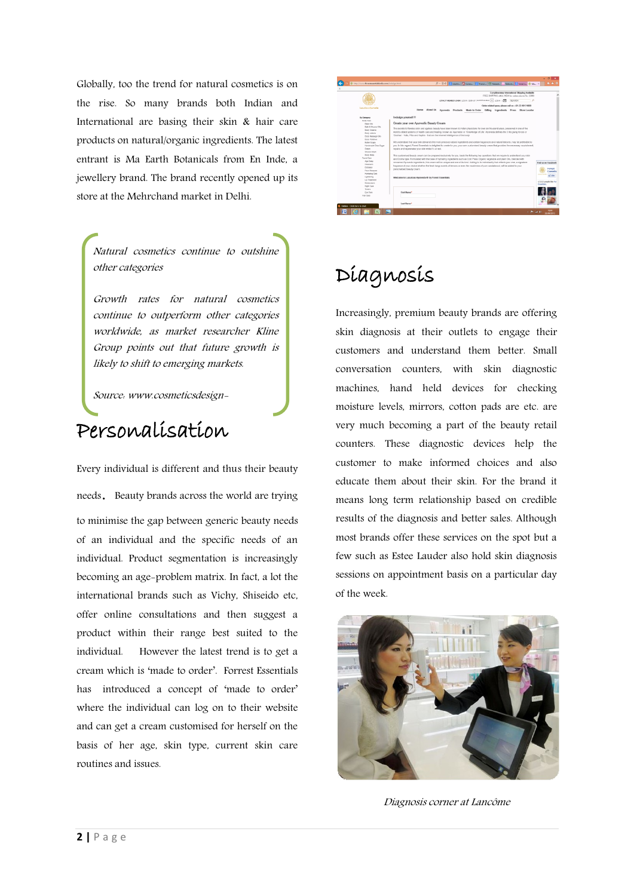Globally, too the trend for natural cosmetics is on the rise. So many brands both Indian and International are basing their skin & hair care products on natural/organic ingredients. The latest entrant is Ma Earth Botanicals from En Inde, a jewellery brand. The brand recently opened up its store at the Mehrchand market in Delhi.

[Natural cosmetics continue to outshine](http://www.cosmeticsdesign-europe.com/Market-Trends/Natural-cosmetics-continue-to-outshine-other-categories?utm_source=copyright&utm_medium=OnSite&utm_campaign=copyright)  [other categories](http://www.cosmeticsdesign-europe.com/Market-Trends/Natural-cosmetics-continue-to-outshine-other-categories?utm_source=copyright&utm_medium=OnSite&utm_campaign=copyright)

Growth rates for natural cosmetics continue to outperform other categories worldwide, as market researcher Kline Group points out that future growth is likely to shift to emerging markets.

Source: www.cosmeticsdesign-

#### Personalisation

europe.com

Every individual is different and thus their beauty needs. Beauty brands across the world are trying to minimise the gap between generic beauty needs of an individual and the specific needs of an individual. Product segmentation is increasingly becoming an age-problem matrix. In fact, a lot the international brands such as Vichy, Shiseido etc, offer online consultations and then suggest a product within their range best suited to the individual. However the latest trend is to get a cream which is 'made to order'. Forrest Essentials has introduced a concept of 'made to order' where the individual can log on to their website and can get a cream customised for herself on the basis of her age, skin type, current skin care routines and issues.



## Diagnosis

Increasingly, premium beauty brands are offering skin diagnosis at their outlets to engage their customers and understand them better. Small conversation counters, with skin diagnostic machines, hand held devices for checking moisture levels, mirrors, cotton pads are etc. are very much becoming a part of the beauty retail counters. These diagnostic devices help the customer to make informed choices and also educate them about their skin. For the brand it means long term relationship based on credible results of the diagnosis and better sales. Although most brands offer these services on the spot but a few such as Estee Lauder also hold skin diagnosis sessions on appointment basis on a particular day of the week.



Diagnosis corner at Lancôme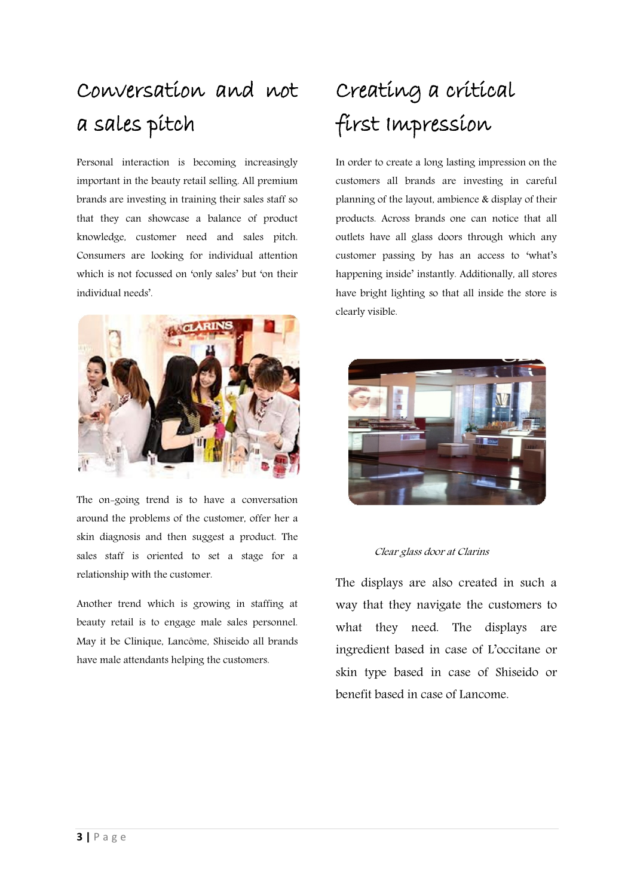## Conversation and not a sales pitch

Personal interaction is becoming increasingly important in the beauty retail selling. All premium brands are investing in training their sales staff so that they can showcase a balance of product knowledge, customer need and sales pitch. Consumers are looking for individual attention which is not focussed on 'only sales' but 'on their individual needs'.



The on-going trend is to have a conversation around the problems of the customer, offer her a skin diagnosis and then suggest a product. The sales staff is oriented to set a stage for a relationship with the customer.

Another trend which is growing in staffing at beauty retail is to engage male sales personnel. May it be Clinique, Lancôme, Shiseido all brands have male attendants helping the customers.

# Creating a critical first Impression

In order to create a long lasting impression on the customers all brands are investing in careful planning of the layout, ambience & display of their products. Across brands one can notice that all outlets have all glass doors through which any customer passing by has an access to 'what's happening inside' instantly. Additionally, all stores have bright lighting so that all inside the store is clearly visible.



#### Clear glass door at Clarins

The displays are also created in such a way that they navigate the customers to what they need. The displays are ingredient based in case of L'occitane or skin type based in case of Shiseido or benefit based in case of Lancome.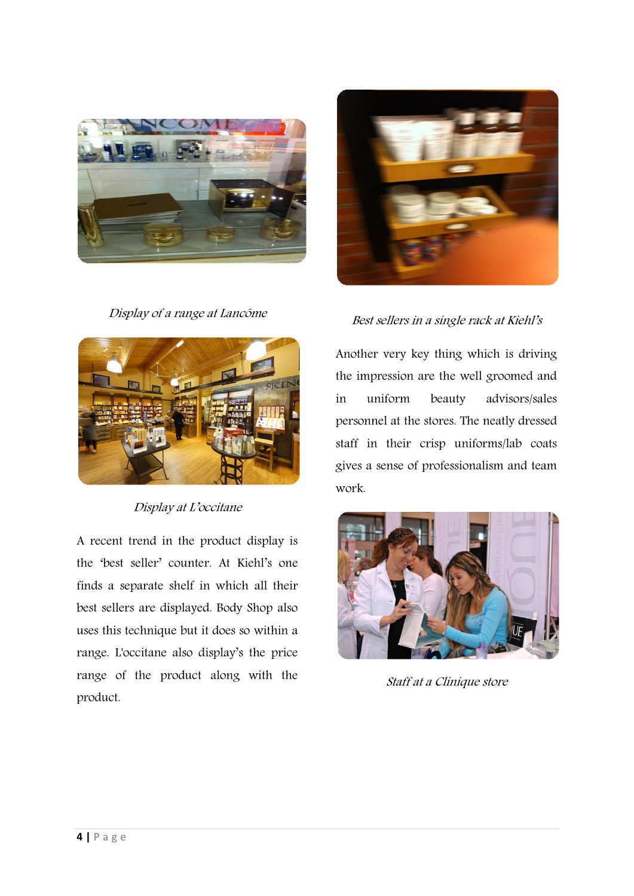

Display of a range at Lancôme



#### Display at L'occitane

A recent trend in the product display is the 'best seller' counter. At Kiehl's one finds a separate shelf in which all their best sellers are displayed. Body Shop also uses this technique but it does so within a range. L'occitane also display's the price range of the product along with the product.



Best sellers in a single rack at Kiehl's

Another very key thing which is driving the impression are the well groomed and in uniform beauty advisors/sales personnel at the stores. The neatly dressed staff in their crisp uniforms/lab coats gives a sense of professionalism and team work.



Staff at a Clinique store